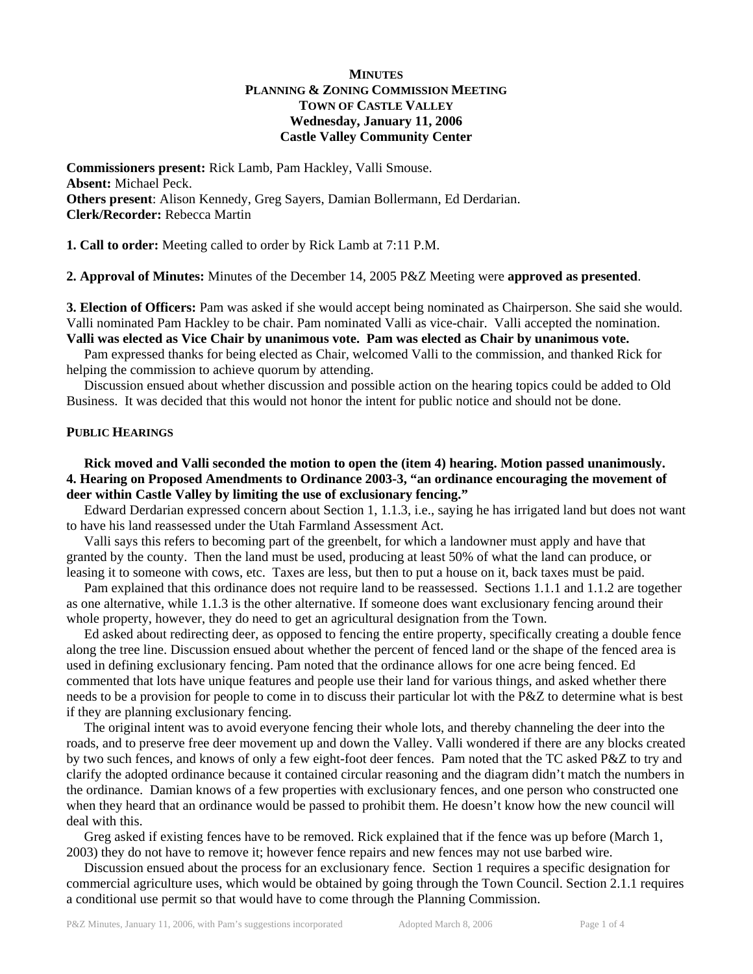# **MINUTES PLANNING & ZONING COMMISSION MEETING TOWN OF CASTLE VALLEY Wednesday, January 11, 2006 Castle Valley Community Center**

**Commissioners present:** Rick Lamb, Pam Hackley, Valli Smouse. **Absent:** Michael Peck. **Others present**: Alison Kennedy, Greg Sayers, Damian Bollermann, Ed Derdarian. **Clerk/Recorder:** Rebecca Martin

**1. Call to order:** Meeting called to order by Rick Lamb at 7:11 P.M.

**2. Approval of Minutes:** Minutes of the December 14, 2005 P&Z Meeting were **approved as presented**.

**3. Election of Officers:** Pam was asked if she would accept being nominated as Chairperson. She said she would. Valli nominated Pam Hackley to be chair. Pam nominated Valli as vice-chair. Valli accepted the nomination. **Valli was elected as Vice Chair by unanimous vote. Pam was elected as Chair by unanimous vote.** 

 Pam expressed thanks for being elected as Chair, welcomed Valli to the commission, and thanked Rick for helping the commission to achieve quorum by attending.

 Discussion ensued about whether discussion and possible action on the hearing topics could be added to Old Business. It was decided that this would not honor the intent for public notice and should not be done.

# **PUBLIC HEARINGS**

# **Rick moved and Valli seconded the motion to open the (item 4) hearing. Motion passed unanimously. 4. Hearing on Proposed Amendments to Ordinance 2003-3, "an ordinance encouraging the movement of deer within Castle Valley by limiting the use of exclusionary fencing."**

 Edward Derdarian expressed concern about Section 1, 1.1.3, i.e., saying he has irrigated land but does not want to have his land reassessed under the Utah Farmland Assessment Act.

 Valli says this refers to becoming part of the greenbelt, for which a landowner must apply and have that granted by the county. Then the land must be used, producing at least 50% of what the land can produce, or leasing it to someone with cows, etc. Taxes are less, but then to put a house on it, back taxes must be paid.

 Pam explained that this ordinance does not require land to be reassessed. Sections 1.1.1 and 1.1.2 are together as one alternative, while 1.1.3 is the other alternative. If someone does want exclusionary fencing around their whole property, however, they do need to get an agricultural designation from the Town.

 Ed asked about redirecting deer, as opposed to fencing the entire property, specifically creating a double fence along the tree line. Discussion ensued about whether the percent of fenced land or the shape of the fenced area is used in defining exclusionary fencing. Pam noted that the ordinance allows for one acre being fenced. Ed commented that lots have unique features and people use their land for various things, and asked whether there needs to be a provision for people to come in to discuss their particular lot with the P&Z to determine what is best if they are planning exclusionary fencing.

 The original intent was to avoid everyone fencing their whole lots, and thereby channeling the deer into the roads, and to preserve free deer movement up and down the Valley. Valli wondered if there are any blocks created by two such fences, and knows of only a few eight-foot deer fences. Pam noted that the TC asked P&Z to try and clarify the adopted ordinance because it contained circular reasoning and the diagram didn't match the numbers in the ordinance. Damian knows of a few properties with exclusionary fences, and one person who constructed one when they heard that an ordinance would be passed to prohibit them. He doesn't know how the new council will deal with this.

 Greg asked if existing fences have to be removed. Rick explained that if the fence was up before (March 1, 2003) they do not have to remove it; however fence repairs and new fences may not use barbed wire.

 Discussion ensued about the process for an exclusionary fence. Section 1 requires a specific designation for commercial agriculture uses, which would be obtained by going through the Town Council. Section 2.1.1 requires a conditional use permit so that would have to come through the Planning Commission.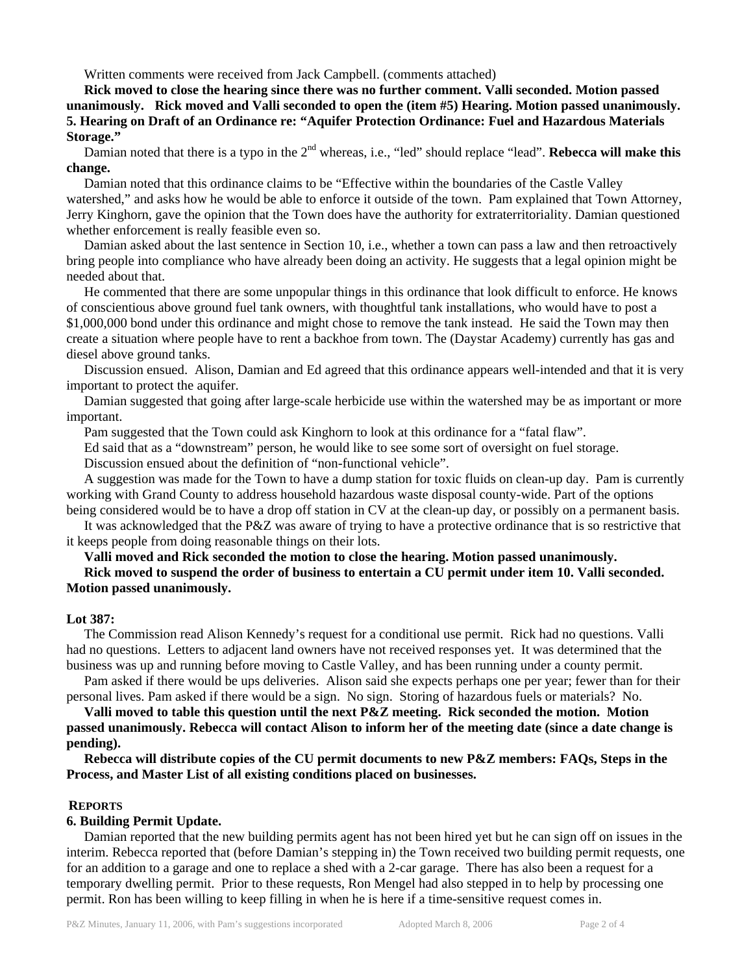Written comments were received from Jack Campbell. (comments attached)

**Rick moved to close the hearing since there was no further comment. Valli seconded. Motion passed unanimously. Rick moved and Valli seconded to open the (item #5) Hearing. Motion passed unanimously. 5. Hearing on Draft of an Ordinance re: "Aquifer Protection Ordinance: Fuel and Hazardous Materials Storage."** 

Damian noted that there is a typo in the 2<sup>nd</sup> whereas, i.e., "led" should replace "lead". **Rebecca will make this change.** 

 Damian noted that this ordinance claims to be "Effective within the boundaries of the Castle Valley watershed," and asks how he would be able to enforce it outside of the town. Pam explained that Town Attorney, Jerry Kinghorn, gave the opinion that the Town does have the authority for extraterritoriality. Damian questioned whether enforcement is really feasible even so.

 Damian asked about the last sentence in Section 10, i.e., whether a town can pass a law and then retroactively bring people into compliance who have already been doing an activity. He suggests that a legal opinion might be needed about that.

 He commented that there are some unpopular things in this ordinance that look difficult to enforce. He knows of conscientious above ground fuel tank owners, with thoughtful tank installations, who would have to post a \$1,000,000 bond under this ordinance and might chose to remove the tank instead. He said the Town may then create a situation where people have to rent a backhoe from town. The (Daystar Academy) currently has gas and diesel above ground tanks.

 Discussion ensued. Alison, Damian and Ed agreed that this ordinance appears well-intended and that it is very important to protect the aquifer.

 Damian suggested that going after large-scale herbicide use within the watershed may be as important or more important.

Pam suggested that the Town could ask Kinghorn to look at this ordinance for a "fatal flaw".

Ed said that as a "downstream" person, he would like to see some sort of oversight on fuel storage.

Discussion ensued about the definition of "non-functional vehicle".

 A suggestion was made for the Town to have a dump station for toxic fluids on clean-up day. Pam is currently working with Grand County to address household hazardous waste disposal county-wide. Part of the options being considered would be to have a drop off station in CV at the clean-up day, or possibly on a permanent basis.

 It was acknowledged that the P&Z was aware of trying to have a protective ordinance that is so restrictive that it keeps people from doing reasonable things on their lots.

**Valli moved and Rick seconded the motion to close the hearing. Motion passed unanimously.** 

# **Rick moved to suspend the order of business to entertain a CU permit under item 10. Valli seconded. Motion passed unanimously.**

# **Lot 387:**

 The Commission read Alison Kennedy's request for a conditional use permit. Rick had no questions. Valli had no questions. Letters to adjacent land owners have not received responses yet. It was determined that the business was up and running before moving to Castle Valley, and has been running under a county permit.

 Pam asked if there would be ups deliveries. Alison said she expects perhaps one per year; fewer than for their personal lives. Pam asked if there would be a sign. No sign. Storing of hazardous fuels or materials? No.

**Valli moved to table this question until the next P&Z meeting. Rick seconded the motion. Motion passed unanimously. Rebecca will contact Alison to inform her of the meeting date (since a date change is pending).** 

 **Rebecca will distribute copies of the CU permit documents to new P&Z members: FAQs, Steps in the Process, and Master List of all existing conditions placed on businesses.** 

# **REPORTS**

# **6. Building Permit Update.**

 Damian reported that the new building permits agent has not been hired yet but he can sign off on issues in the interim. Rebecca reported that (before Damian's stepping in) the Town received two building permit requests, one for an addition to a garage and one to replace a shed with a 2-car garage. There has also been a request for a temporary dwelling permit. Prior to these requests, Ron Mengel had also stepped in to help by processing one permit. Ron has been willing to keep filling in when he is here if a time-sensitive request comes in.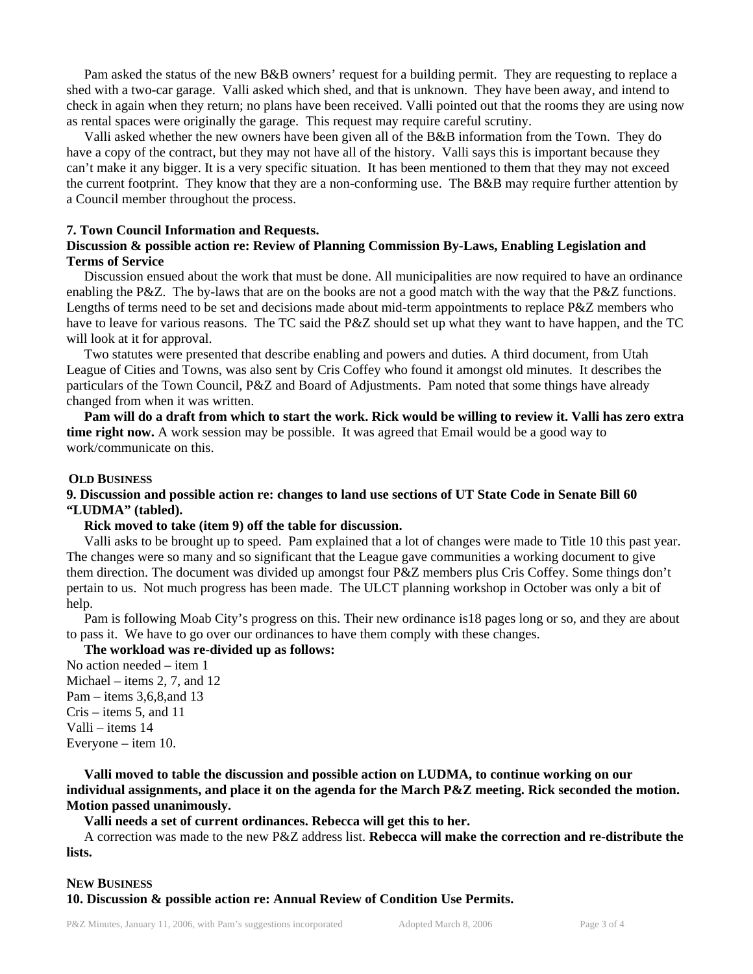Pam asked the status of the new B&B owners' request for a building permit. They are requesting to replace a shed with a two-car garage. Valli asked which shed, and that is unknown. They have been away, and intend to check in again when they return; no plans have been received. Valli pointed out that the rooms they are using now as rental spaces were originally the garage. This request may require careful scrutiny.

 Valli asked whether the new owners have been given all of the B&B information from the Town. They do have a copy of the contract, but they may not have all of the history. Valli says this is important because they can't make it any bigger. It is a very specific situation. It has been mentioned to them that they may not exceed the current footprint. They know that they are a non-conforming use. The B&B may require further attention by a Council member throughout the process.

### **7. Town Council Information and Requests.**

## **Discussion & possible action re: Review of Planning Commission By-Laws, Enabling Legislation and Terms of Service**

 Discussion ensued about the work that must be done. All municipalities are now required to have an ordinance enabling the P&Z. The by-laws that are on the books are not a good match with the way that the P&Z functions. Lengths of terms need to be set and decisions made about mid-term appointments to replace P&Z members who have to leave for various reasons. The TC said the P&Z should set up what they want to have happen, and the TC will look at it for approval.

 Two statutes were presented that describe enabling and powers and duties*.* A third document, from Utah League of Cities and Towns, was also sent by Cris Coffey who found it amongst old minutes. It describes the particulars of the Town Council, P&Z and Board of Adjustments. Pam noted that some things have already changed from when it was written.

**Pam will do a draft from which to start the work. Rick would be willing to review it. Valli has zero extra time right now.** A work session may be possible. It was agreed that Email would be a good way to work/communicate on this.

#### **OLD BUSINESS**

## **9. Discussion and possible action re: changes to land use sections of UT State Code in Senate Bill 60 "LUDMA" (tabled).**

#### **Rick moved to take (item 9) off the table for discussion.**

 Valli asks to be brought up to speed. Pam explained that a lot of changes were made to Title 10 this past year. The changes were so many and so significant that the League gave communities a working document to give them direction. The document was divided up amongst four P&Z members plus Cris Coffey. Some things don't pertain to us. Not much progress has been made. The ULCT planning workshop in October was only a bit of help.

 Pam is following Moab City's progress on this. Their new ordinance is18 pages long or so, and they are about to pass it. We have to go over our ordinances to have them comply with these changes.

## **The workload was re-divided up as follows:**

No action needed – item 1 Michael – items 2, 7, and 12 Pam – items 3,6,8,and 13 Cris – items 5, and 11 Valli – items 14 Everyone – item 10.

 **Valli moved to table the discussion and possible action on LUDMA, to continue working on our individual assignments, and place it on the agenda for the March P&Z meeting. Rick seconded the motion. Motion passed unanimously.** 

 **Valli needs a set of current ordinances. Rebecca will get this to her.** 

 A correction was made to the new P&Z address list. **Rebecca will make the correction and re-distribute the lists.** 

# **NEW BUSINESS**

#### **10. Discussion & possible action re: Annual Review of Condition Use Permits.**